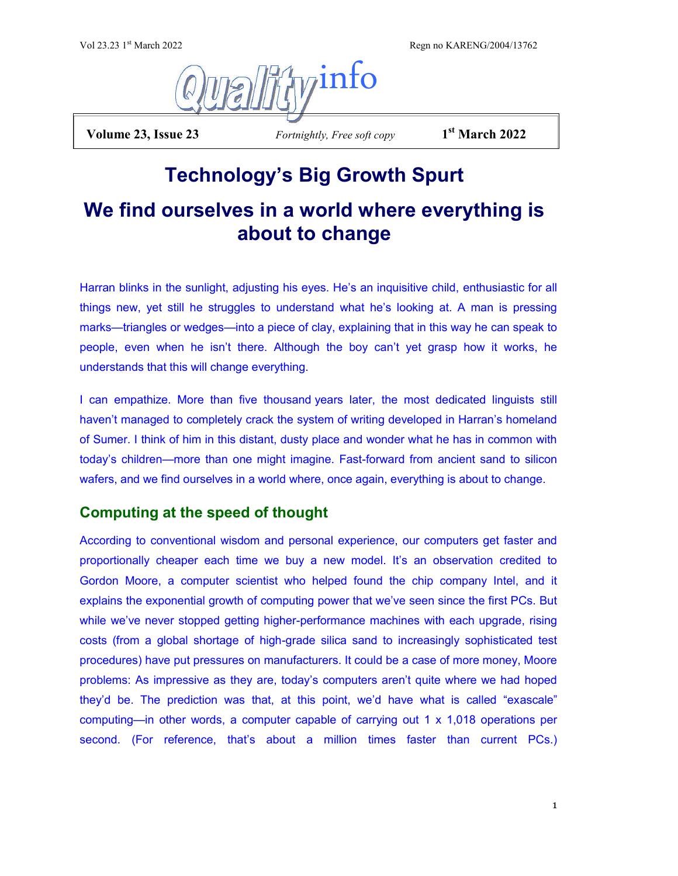Regn no KARENG/2004/13762



**Volume 23, Issue 23** *Fortnightly, Free soft copy* 

**st March 2022**

# **Technology's Big Growth Spurt**

# **We find ourselves in a world where everything is about to change**

Harran blinks in the sunlight, adjusting his eyes. He's an inquisitive child, enthusiastic for all things new, yet still he struggles to understand what he's looking at. A man is pressing marks—triangles or wedges—into a piece of clay, explaining that in this way he can speak to people, even when he isn't there. Although the boy can't yet grasp how it works, he understands that this will change everything.

I can empathize. More than five thousand years later, the most dedicated linguists still haven't managed to completely crack the system of writing developed in Harran's homeland of Sumer. I think of him in this distant, dusty place and wonder what he has in common with today's children—more than one might imagine. Fast-forward from ancient sand to silicon wafers, and we find ourselves in a world where, once again, everything is about to change.

# **Computing at the speed of thought**

According to conventional wisdom and personal experience, our computers get faster and proportionally cheaper each time we buy a new model. It's an observation credited to Gordon Moore, a computer scientist who helped found the chip company Intel, and it explains the exponential growth of computing power that we've seen since the first PCs. But while we've never stopped getting higher-performance machines with each upgrade, rising costs (from a global shortage of high-grade silica sand to increasingly sophisticated test procedures) have put pressures on manufacturers. It could be a case of more money, Moore problems: As impressive as they are, today's computers aren't quite where we had hoped they'd be. The prediction was that, at this point, we'd have what is called "exascale" computing—in other words, a computer capable of carrying out 1 x 1,018 operations per second. (For reference, that's about a million times faster than current PCs.)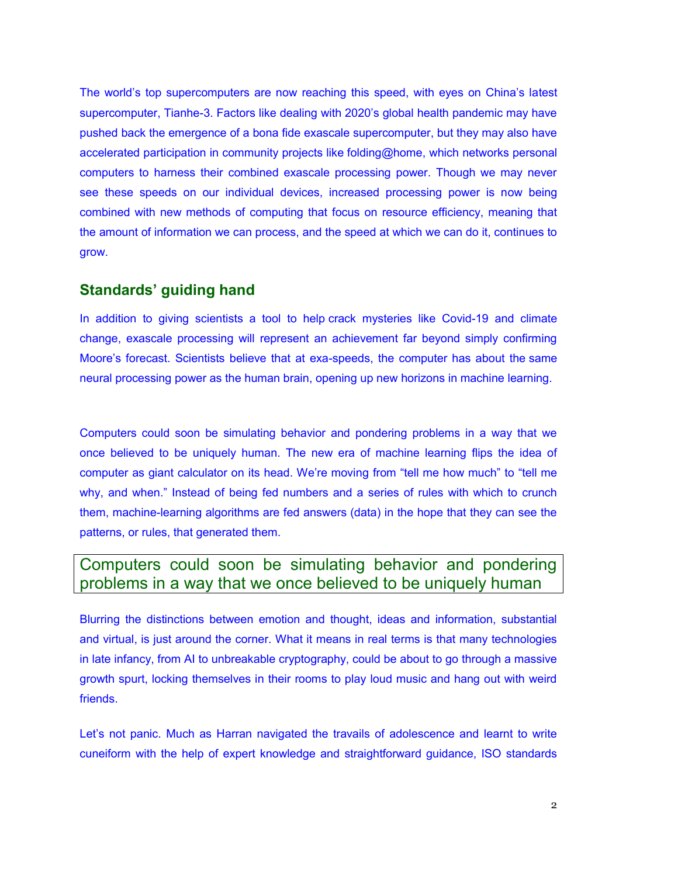The world's top supercomputers are now reaching this speed, with eyes on China's latest supercomputer, Tianhe-3. Factors like dealing with 2020's global health pandemic may have pushed back the emergence of a bona fide exascale supercomputer, but they may also have accelerated participation in community projects like [folding@home,](https://foldingathome.org/?lng=en-US#downloads) which networks personal computers to harness their combined exascale processing power. Though we may never see these speeds on our individual devices, increased processing power is now being combined with new methods of computing that focus on resource efficiency, meaning that the amount of information we can process, and the speed at which we can do it, continues to grow.

## **Standards' guiding hand**

In addition to giving scientists a tool to help crack mysteries like Covid-19 and climate change, exascale processing will represent an achievement far beyond simply confirming Moore's forecast. Scientists believe that at exa-speeds, the computer has about the [same](https://www.frontiersin.org/articles/10.3389/fninf.2018.00002/full)  [neural processing power as the human brain,](https://www.frontiersin.org/articles/10.3389/fninf.2018.00002/full) opening up new horizons in machine learning.

Computers could soon be simulating behavior and pondering problems in a way that we once believed to be uniquely human. The new era of machine learning flips the idea of computer as giant calculator on its head. We're moving from "tell me how much" to "tell me why, and when." Instead of being fed numbers and a series of rules with which to crunch them, machine-learning algorithms are fed answers (data) in the hope that they can see the patterns, or rules, that generated them.

# Computers could soon be simulating behavior and pondering problems in a way that we once believed to be uniquely human

Blurring the distinctions between emotion and thought, ideas and information, substantial and virtual, is just around the corner. What it means in real terms is that many technologies in late infancy, from AI to unbreakable cryptography, could be about to go through a massive growth spurt, locking themselves in their rooms to play loud music and hang out with weird friends.

Let's not panic. Much as Harran navigated the travails of adolescence and learnt to write cuneiform with the help of expert knowledge and straightforward guidance, ISO standards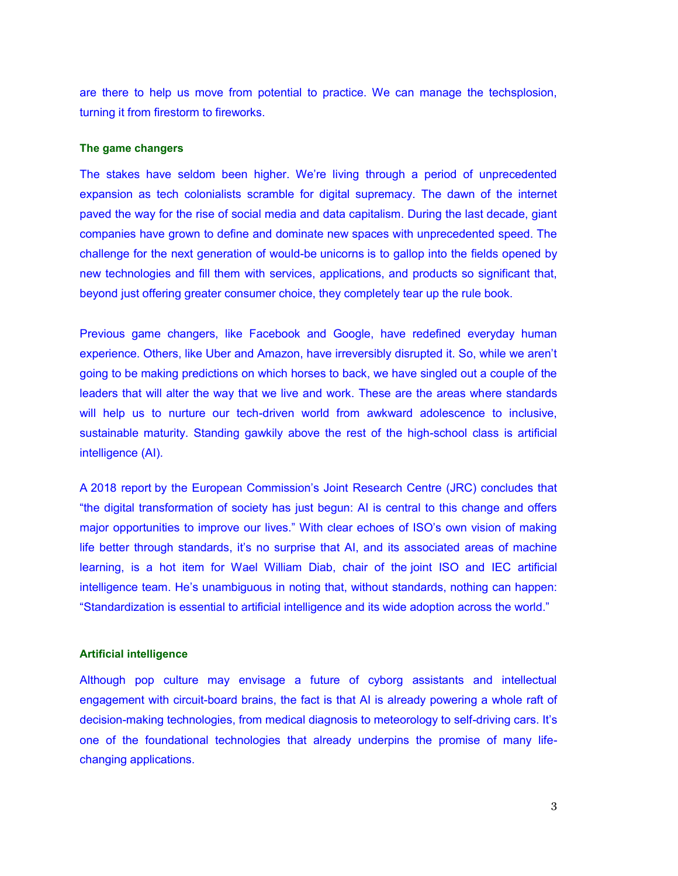are there to help us move from potential to practice. We can manage the techsplosion, turning it from firestorm to fireworks.

### **The game changers**

The stakes have seldom been higher. We're living through a period of unprecedented expansion as tech colonialists scramble for digital supremacy. The dawn of the internet paved the way for the rise of social media and data capitalism. During the last decade, giant companies have grown to define and dominate new spaces with unprecedented speed. The challenge for the next generation of would-be unicorns is to gallop into the fields opened by new technologies and fill them with services, applications, and products so significant that, beyond just offering greater consumer choice, they completely tear up the rule book.

Previous game changers, like Facebook and Google, have redefined everyday human experience. Others, like Uber and Amazon, have irreversibly disrupted it. So, while we aren't going to be making predictions on which horses to back, we have singled out a couple of the leaders that will alter the way that we live and work. These are the areas where standards will help us to nurture our tech-driven world from awkward adolescence to inclusive, sustainable maturity. Standing gawkily above the rest of the high-school class is artificial intelligence (AI).

A 2018 report by the European Commission's Joint Research Centre (JRC) concludes that "the digital transformation of society has just begun: AI is central to this change and offers major opportunities to improve our lives." With clear echoes of ISO's own vision of making life better through standards, it's no surprise that AI, and its associated areas of machine learning, is a hot item for Wael William Diab, chair of the joint ISO and IEC artificial intelligence team. He's unambiguous in noting that, without standards, nothing can happen: "Standardization is essential to artificial intelligence and its wide adoption across the world."

#### **Artificial intelligence**

Although pop culture may envisage a future of cyborg assistants and intellectual engagement with circuit-board brains, the fact is that AI is already powering a whole raft of decision-making technologies, from medical diagnosis to meteorology to self-driving cars. It's one of the foundational technologies that already underpins the promise of many lifechanging applications.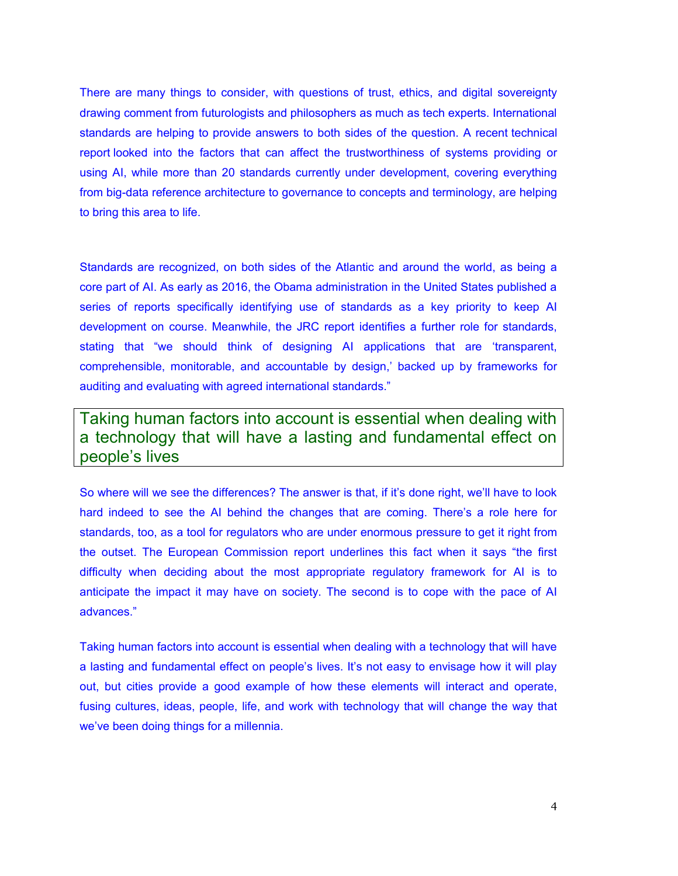There are many things to consider, with questions of trust, ethics, and digital sovereignty drawing comment from futurologists and philosophers as much as tech experts. International standards are helping to provide answers to both sides of the question. A recent technical report looked into the factors that can affect the trustworthiness of systems providing or using AI, while more than 20 standards currently under development, covering everything from big-data reference architecture to governance to concepts and terminology, are helping to bring this area to life.

Standards are recognized, on both sides of the Atlantic and around the world, as being a core part of AI. As early as 2016, the Obama administration in the United States published a series of reports specifically identifying use of standards as a key priority to keep AI development on course. Meanwhile, the JRC report identifies a further role for standards, stating that "we should think of designing AI applications that are 'transparent, comprehensible, monitorable, and accountable by design,' backed up by frameworks for auditing and evaluating with agreed international standards."

Taking human factors into account is essential when dealing with a technology that will have a lasting and fundamental effect on people's lives

So where will we see the differences? The answer is that, if it's done right, we'll have to look hard indeed to see the AI behind the changes that are coming. There's a role here for standards, too, as a tool for regulators who are under enormous pressure to get it right from the outset. The European Commission report underlines this fact when it says "the first difficulty when deciding about the most appropriate regulatory framework for AI is to anticipate the impact it may have on society. The second is to cope with the pace of AI advances."

Taking human factors into account is essential when dealing with a technology that will have a lasting and fundamental effect on people's lives. It's not easy to envisage how it will play out, but cities provide a good example of how these elements will interact and operate, fusing cultures, ideas, people, life, and work with technology that will change the way that we've been doing things for a millennia.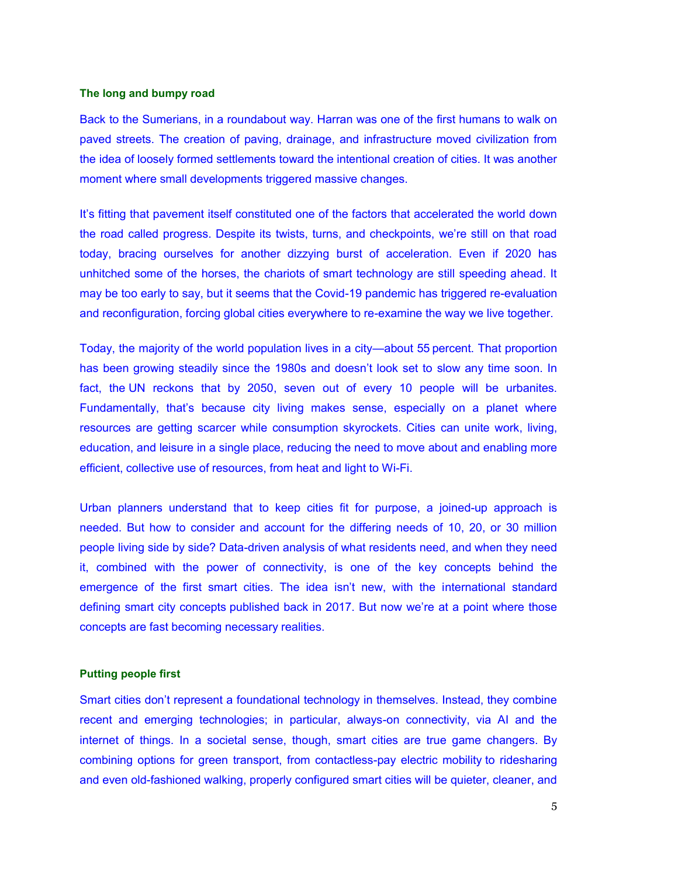#### **The long and bumpy road**

Back to the Sumerians, in a roundabout way. Harran was one of the first humans to walk on paved streets. The creation of paving, drainage, and infrastructure moved civilization from the idea of loosely formed settlements toward the intentional creation of cities. It was another moment where small developments triggered massive changes.

It's fitting that pavement itself constituted one of the factors that accelerated the world down the road called progress. Despite its twists, turns, and checkpoints, we're still on that road today, bracing ourselves for another dizzying burst of acceleration. Even if 2020 has unhitched some of the horses, the chariots of smart technology are still speeding ahead. It may be too early to say, but it seems that the Covid-19 pandemic has triggered re-evaluation and reconfiguration, forcing global cities everywhere to re-examine the way we live together.

Today, the majority of the world population lives in a city—about 55 percent. That proportion has been growing steadily since the 1980s and doesn't look set to slow any time soon. In fact, the UN reckons that by 2050, seven out of every 10 people will be urbanites. Fundamentally, that's because city living makes sense, especially on a planet where resources are getting scarcer while consumption skyrockets. Cities can unite work, living, education, and leisure in a single place, reducing the need to move about and enabling more efficient, collective use of resources, from heat and light to Wi-Fi.

Urban planners understand that to keep cities fit for purpose, a joined-up approach is needed. But how to consider and account for the differing needs of 10, 20, or 30 million people living side by side? Data-driven analysis of what residents need, and when they need it, combined with the power of connectivity, is one of the key concepts behind the emergence of the first smart cities. The idea isn't new, with the international standard defining smart city concepts published back in 2017. But now we're at a point where those concepts are fast becoming necessary realities.

### **Putting people first**

Smart cities don't represent a foundational technology in themselves. Instead, they combine recent and emerging technologies; in particular, always-on connectivity, via AI and the internet of things. In a societal sense, though, smart cities are true game changers. By combining options for green transport, from contactless-pay electric mobility to ridesharing and even old-fashioned walking, properly configured smart cities will be quieter, cleaner, and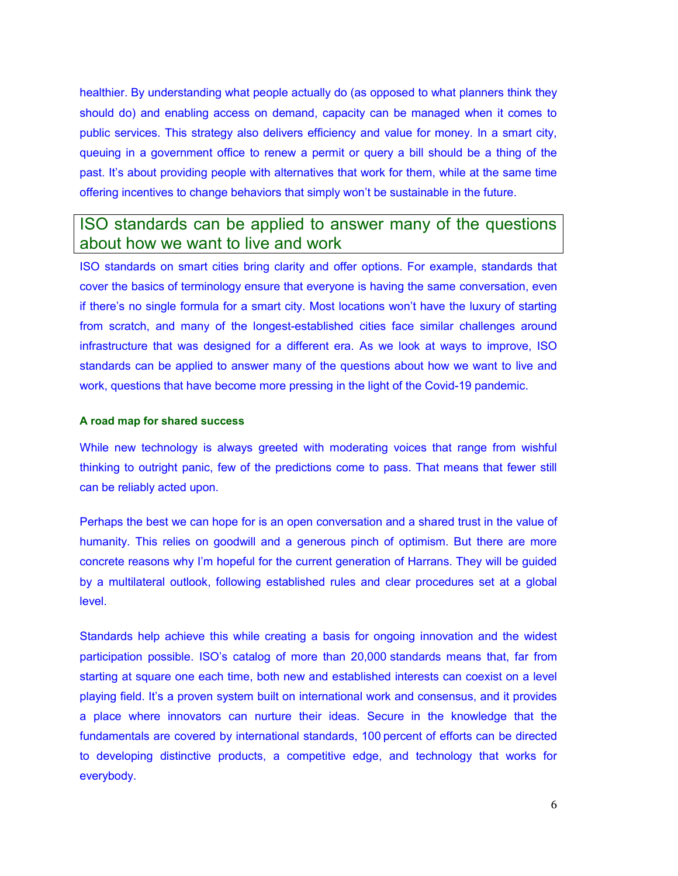healthier. By understanding what people actually do (as opposed to what planners think they should do) and enabling access on demand, capacity can be managed when it comes to public services. This strategy also delivers efficiency and value for money. In a smart city, queuing in a government office to renew a permit or query a bill should be a thing of the past. It's about providing people with alternatives that work for them, while at the same time offering incentives to change behaviors that simply won't be sustainable in the future.

# ISO standards can be applied to answer many of the questions about how we want to live and work

ISO standards on smart cities bring clarity and offer options. For example, standards that cover the basics of terminology ensure that everyone is having the same conversation, even if there's no single formula for a smart city. Most locations won't have the luxury of starting from scratch, and many of the longest-established cities face similar challenges around infrastructure that was designed for a different era. As we look at ways to improve, ISO standards can be applied to answer many of the questions about how we want to live and work, questions that have become more pressing in the light of the Covid-19 pandemic.

### **A road map for shared success**

While new technology is always greeted with moderating voices that range from wishful thinking to outright panic, few of the predictions come to pass. That means that fewer still can be reliably acted upon.

Perhaps the best we can hope for is an open conversation and a shared trust in the value of humanity. This relies on goodwill and a generous pinch of optimism. But there are more concrete reasons why I'm hopeful for the current generation of Harrans. They will be guided by a multilateral outlook, following established rules and clear procedures set at a global level.

Standards help achieve this while creating a basis for ongoing innovation and the widest participation possible. ISO's catalog of more than 20,000 standards means that, far from starting at square one each time, both new and established interests can coexist on a level playing field. It's a proven system built on international work and consensus, and it provides a place where innovators can nurture their ideas. Secure in the knowledge that the fundamentals are covered by international standards, 100 percent of efforts can be directed to developing distinctive products, a competitive edge, and technology that works for everybody.